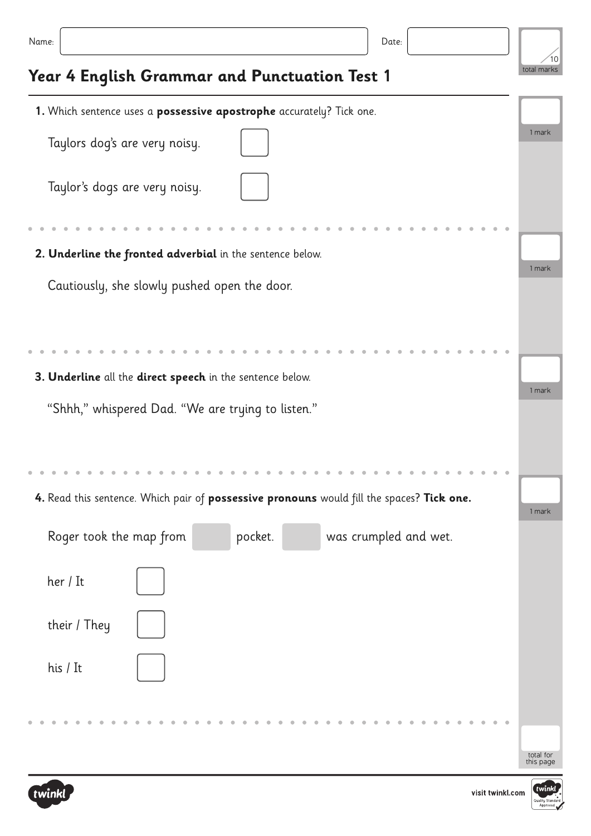## **Year 4 English Grammar and Punctuation Test 1**

| 1. Which sentence uses a possessive apostrophe accurately? Tick one.                      |                        |  |  |  |
|-------------------------------------------------------------------------------------------|------------------------|--|--|--|
| Taylors dog's are very noisy.                                                             | 1 mark                 |  |  |  |
| Taylor's dogs are very noisy.                                                             |                        |  |  |  |
|                                                                                           |                        |  |  |  |
| 2. Underline the fronted adverbial in the sentence below.                                 | 1 mark                 |  |  |  |
| Cautiously, she slowly pushed open the door.                                              |                        |  |  |  |
|                                                                                           |                        |  |  |  |
| 3. Underline all the direct speech in the sentence below.                                 |                        |  |  |  |
| "Shhh," whispered Dad. "We are trying to listen."                                         | 1 mark                 |  |  |  |
|                                                                                           |                        |  |  |  |
| 4. Read this sentence. Which pair of possessive pronouns would fill the spaces? Tick one. | 1 mark                 |  |  |  |
| Roger took the map from<br>pocket.<br>was crumpled and wet.                               |                        |  |  |  |
| her / It                                                                                  |                        |  |  |  |
| their / They                                                                              |                        |  |  |  |
| his / It                                                                                  |                        |  |  |  |
|                                                                                           |                        |  |  |  |
|                                                                                           | total for<br>this page |  |  |  |



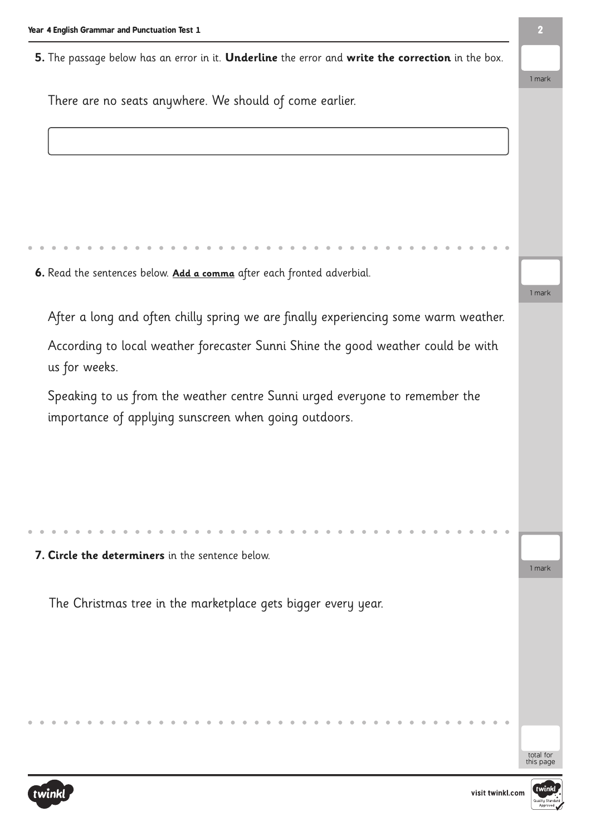**5.** The passage below has an error in it. **Underline** the error and **write the correction** in the box.

There are no seats anywhere. We should of come earlier.

**6.** Read the sentences below. **Add a comma** after each fronted adverbial.

After a long and often chilly spring we are finally experiencing some warm weather.

According to local weather forecaster Sunni Shine the good weather could be with us for weeks.

Speaking to us from the weather centre Sunni urged everyone to remember the importance of applying sunscreen when going outdoors.

**7. Circle the determiners** in the sentence below.

The Christmas tree in the marketplace gets bigger every year.

total for this page

1 mark

1 mark

1 mark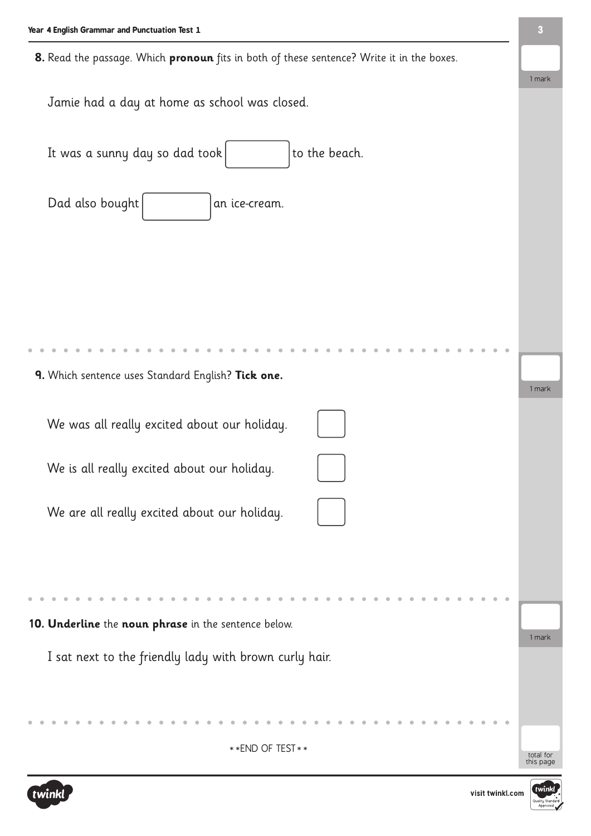**8.** Read the passage. Which **pronoun** fits in both of these sentence? Write it in the boxes.

Jamie had a day at home as school was closed.

It was a sunny day so dad took  $\vert$  to the beach.

Dad also bought  $|$  an ice-cream.

**9.** Which sentence uses Standard English? **Tick one.**

We was all really excited about our holiday.

We is all really excited about our holiday.

We are all really excited about our holiday.

**10. Underline** the **noun phrase** in the sentence below.

I sat next to the friendly lady with brown curly hair.

\*\*END OF TEST\*\*





total for<br>this page

1 mark

**3**

1 mark

1 mark